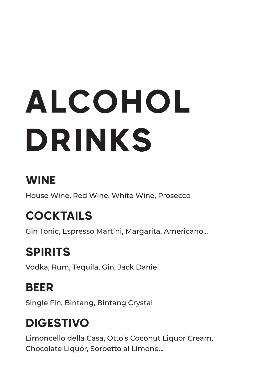# ALCOHOL DRINKS

### WINE

House Wine, Red Wine, White Wine, Prosecco

# COCKTAILS

Gin Tonic, Espresso Martini, Margarita, Americano...

# SPIRITS

Vodka, Rum, Tequila, Gin, Jack Daniel

## BEER

Single Fin, Bintang, Bintang Crystal

## DIGESTIVO

Limoncello della Casa, Otto's Coconut Liquor Cream, Chocolate Liquor, Sorbetto al Limone...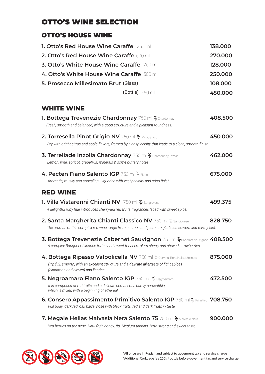#### OTTO'S WINE SELECTION

#### OTTO'S HOUSE WINE

| <b>1. Otto's Red House Wine Caraffe</b> 250 ml<br><b>2. Otto's Red House Wine Caraffe 500 ml</b><br><b>3. Otto's White House Wine Caraffe</b> 250 ml<br>4. Otto's White House Wine Caraffe 500 ml<br>5. Prosecco Millesimato Brut (Glass)<br>$(Bottle)$ 750 ml | 138.000<br>270.000<br>128.000<br>250.000<br>108.000<br>450.000 |
|----------------------------------------------------------------------------------------------------------------------------------------------------------------------------------------------------------------------------------------------------------------|----------------------------------------------------------------|
| <b>WHITE WINE</b>                                                                                                                                                                                                                                              |                                                                |
| 1. Bottega Trevenezie Chardonnay 750 ml $\frac{32}{9}$ Chardonnay<br>Fresh, smooth and balanced, with a good structure and a pleasant roundness.                                                                                                               | 408.500                                                        |
| 2. Torresella Pinot Grigio NV 750 ml $\frac{\infty}{N}$ Pinot Grigio<br>Dry with bright citrus and apple flavors, framed by a crisp acidity that leads to a clean, smooth finish.                                                                              | 450.000                                                        |
| 3. Terreliade Inzolia Chardonnay 750 ml $\frac{10}{3}$ Chardonnay, Inzolia<br>Lemon, lime, apricot, grapefruit, minerals & some buttery notes                                                                                                                  | 462.000                                                        |
| 4. Pecten Fiano Salento IGP 750 ml $\frac{6}{3}$ Fiano<br>Aromatic, musky and appealing. Liquorice with zesty acidity and crisp finish.                                                                                                                        | 675.000                                                        |
| <b>RED WINE</b>                                                                                                                                                                                                                                                |                                                                |
| 1. Villa Vistarenni Chianti NV 750 ml $\frac{\infty}{N}$ Sangiovese<br>A delightful ruby hue introduces cherry-led red fruits fragrances laced with sweet spice.                                                                                               | 499.375                                                        |
| 2. Santa Margherita Chianti Classico NV 750 ml $\frac{62}{3}$ Sangiovese<br>The aromas of this complex red wine range from cherries and plums to gladiolus flowers and earthy flint.                                                                           | 828.750                                                        |
| 3. Bottega Trevenezie Cabernet Sauvignon 750 ml $\frac{6}{9}$ Cabernet Sauvignon 408.500<br>A complex Bouquet of licorice toffee and sweet tobacco, plum cherry and stewed strawberries.                                                                       |                                                                |
| 4. Bottega Ripasso Valpolicella NV 750 ml % Corvina, Rondinella, Molinara<br>Dry, full, smooth, with an excellent structure and a delicate aftertaste of light spices<br>(cinnamon and cloves) and licorice.                                                   | 875.000                                                        |
| 5. Negroamaro Fiano Salento IGP 750 ml $\frac{32}{32}$ Negroamaro<br>It is composed of red fruits and a delicate herbaceous barely perceptible,<br>which is mixed with a beginning of ethereal.                                                                | 472.500                                                        |
| 6. Consero Appassimento Primitivo Salento IGP 750 ml $\frac{\infty}{2}$ Primitivo 708.750<br>Full body, dark red, oak barrel nose with black fruits, red and dark fruits in taste.                                                                             |                                                                |

**7. Megale Hellas Malvasia Nera Salento 75** 750 ml  $\frac{w}{w}$  Malvasia Nera **900.000** *Red berries on the nose. Dark fruit, honey, fig. Medium tannins. Both strong and sweet taste.*

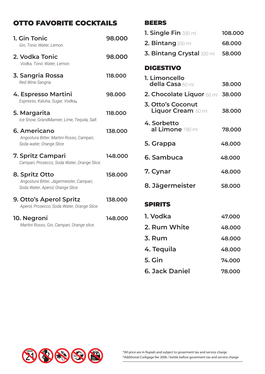#### OTTO FAVORITE COCKTAILS

| 1. Gin Tonic<br>Gin, Tonic Water, Lemon.                                                        | 98.000  |
|-------------------------------------------------------------------------------------------------|---------|
| 2. Vodka Tonic<br>Vodka, Tonic Water, Lemon.                                                    | 98.000  |
| 3. Sangria Rossa<br>Red Wine Sangria                                                            | 118.000 |
| 4. Espresso Martini<br>Espresso, Kaluha, Sugar, Vodka.                                          | 98.000  |
| 5. Margarita<br>Ice Snow, GrandMarnier, Lime, Tequila, Salt.                                    | 118.000 |
| 6. Americano<br>Angostura Bitter, Martini Rosso, Campari,<br>Soda water, Orange Slice.          | 138.000 |
| 7. Spritz Campari<br>Campari, Prosecco, Soda Water, Orange Slice.                               | 148.000 |
| 8. Spritz Otto<br>Angostura Bitter, Jägermeister, Campari,<br>Soda Water, Aperol, Orange Slice. | 158.000 |
| <b>9. Otto's Aperol Spritz</b><br>Aperol, Prosecco, Soda Water, Orange Slice.                   | 138.000 |
| 10. Negroni<br>Martini Rosso, Gin, Campari, Orange slice.                                       | 148.000 |

#### BEERS

| <b>1. Single Fin</b> 330 ml                    | 108.000 |
|------------------------------------------------|---------|
| 2. Bintang 330 ml                              | 68.000  |
| <b>3. Bintang Crystal 330 mill</b>             | 58.000  |
| <b>DIGESTIVO</b>                               |         |
| 1. Limoncello<br>della Casa 60 ml              | 38.000  |
| 2. Chocolate Liquor 60 ml 38.000               |         |
| 3. Otto's Coconut<br><b>Liquor Cream 60 ml</b> | 38,000  |
| 4. Sorbetto<br>al Limone 180 ml                | 78.000  |
| 5. Grappa                                      | 48.000  |
| 6. Sambuca                                     | 48.000  |
| 7. Cynar                                       | 48.000  |
| 8. Jägermeister                                | 58.000  |
| <b>SPIRITS</b>                                 |         |
| 1. Vodka                                       | 47.000  |

|  | 2. Rum White | 48.000 |
|--|--------------|--------|
|  |              |        |

- **3. Rum 48.000**
- **4. Tequila 48.000**
- **5. Gin 74.000**
- **6. Jack Daniel 78.000**